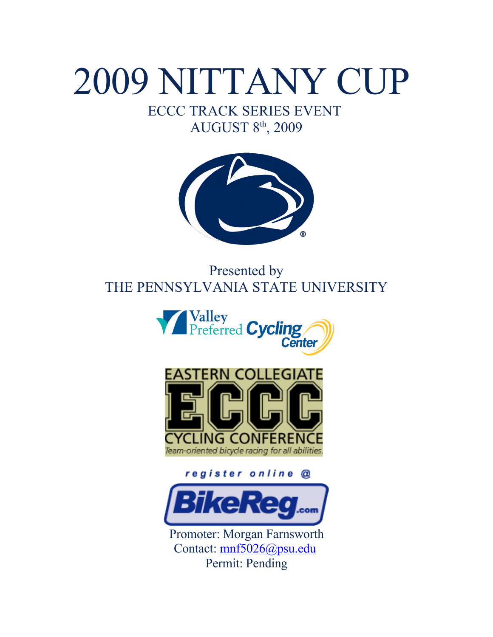# 2009 NITTANY CUP

## ECCC TRACK SERIES EVENT AUGUST 8<sup>th</sup>, 2009



## Presented by THE PENNSYLVANIA STATE UNIVERSITY





register online @



Promoter: Morgan Farnsworth Contact: [mnf5026@psu.edu](mailto:mnf5026@psu.edu) Permit: Pending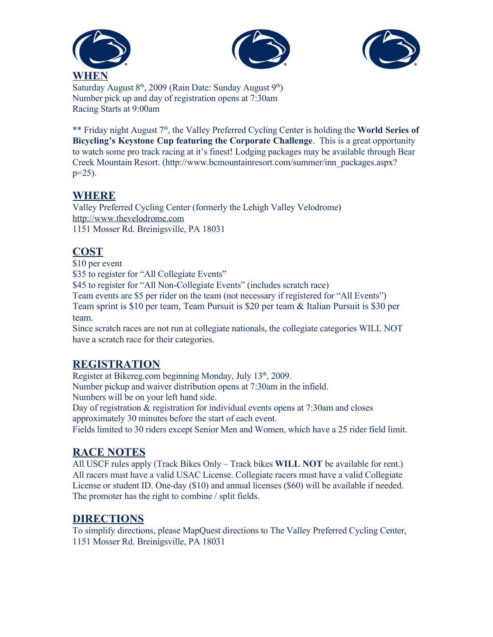





Saturday August  $8<sup>th</sup>$ , 2009 (Rain Date: Sunday August  $9<sup>th</sup>$ ) Number pick up and day of registration opens at 7:30am Racing Starts at 9:00am

\*\* Friday night August 7<sup>th</sup>, the Valley Preferred Cycling Center is holding the **World Series of Bicycling's Keystone Cup featuring the Corporate Challenge**. This is a great opportunity to watch some pro track racing at it's finest! Lodging packages may be available through Bear Creek Mountain Resort. (http://www.bcmountainresort.com/summer/inn\_packages.aspx?  $p=25$ ).

#### **WHERE**

Valley Preferred Cycling Center (formerly the Lehigh Valley Velodrome) [http://www.thevelodrome.com](http://www.thevelodrome.com/) 1151 Mosser Rd. Breinigsville, PA 18031

#### **COST**

\$10 per event

\$35 to register for "All Collegiate Events"

\$45 to register for "All Non-Collegiate Events" (includes scratch race)

Team events are \$5 per rider on the team (not necessary if registered for "All Events")

Team sprint is \$10 per team, Team Pursuit is \$20 per team & Italian Pursuit is \$30 per team.

Since scratch races are not run at collegiate nationals, the collegiate categories WILL NOT have a scratch race for their categories.

#### **REGISTRATION**

Register at Bikereg.com beginning Monday, July 13<sup>th</sup>, 2009. Number pickup and waiver distribution opens at 7:30am in the infield. Numbers will be on your left hand side. Day of registration & registration for individual events opens at 7:30am and closes approximately 30 minutes before the start of each event. Fields limited to 30 riders except Senior Men and Women, which have a 25 rider field limit.

#### **RACE NOTES**

All USCF rules apply (Track Bikes Only – Track bikes **WILL NOT** be available for rent.) All racers must have a valid USAC License. Collegiate racers must have a valid Collegiate License or student ID. One-day (\$10) and annual licenses (\$60) will be available if needed. The promoter has the right to combine / split fields.

#### **DIRECTIONS**

To simplify directions, please MapQuest directions to The Valley Preferred Cycling Center, 1151 Mosser Rd. Breinigsville, PA 18031